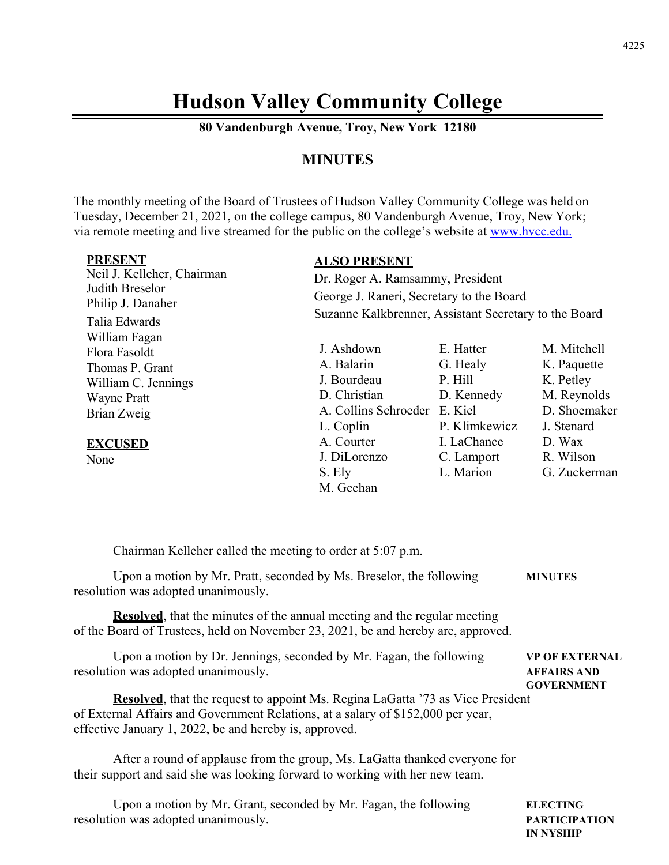# **Hudson Valley Community College**

**80 Vandenburgh Avenue, Troy, New York 12180** 

# **MINUTES**

The monthly meeting of the Board of Trustees of Hudson Valley Community College was held on Tuesday, December 21, 2021, on the college campus, 80 Vandenburgh Avenue, Troy, New York; via remote meeting and live streamed for the public on the college's website at www.hvcc.edu.

| <b>PRESENT</b>                       | <b>ALSO PRESENT</b>                                   |               |              |  |
|--------------------------------------|-------------------------------------------------------|---------------|--------------|--|
| Neil J. Kelleher, Chairman           | Dr. Roger A. Ramsammy, President                      |               |              |  |
| Judith Breselor<br>Philip J. Danaher | George J. Raneri, Secretary to the Board              |               |              |  |
| Talia Edwards                        | Suzanne Kalkbrenner, Assistant Secretary to the Board |               |              |  |
| William Fagan                        |                                                       |               |              |  |
| Flora Fasoldt                        | J. Ashdown                                            | E. Hatter     | M. Mitchell  |  |
| Thomas P. Grant                      | A. Balarin                                            | G. Healy      | K. Paquette  |  |
| William C. Jennings                  | J. Bourdeau                                           | P. Hill       | K. Petley    |  |
| <b>Wayne Pratt</b>                   | D. Christian                                          | D. Kennedy    | M. Reynolds  |  |
| Brian Zweig                          | A. Collins Schroeder                                  | E. Kiel       | D. Shoemaker |  |
|                                      | L. Coplin                                             | P. Klimkewicz | J. Stenard   |  |
| <b>EXCUSED</b>                       | A. Courter                                            | I. LaChance   | D. Wax       |  |
| None                                 | J. DiLorenzo                                          | C. Lamport    | R. Wilson    |  |
|                                      | S. Ely                                                | L. Marion     | G. Zuckerman |  |
|                                      | M. Geehan                                             |               |              |  |

| Chairman Kelleher called the meeting to order at 5:07 p.m.                                                                                                                                                                           |                                                                  |
|--------------------------------------------------------------------------------------------------------------------------------------------------------------------------------------------------------------------------------------|------------------------------------------------------------------|
| Upon a motion by Mr. Pratt, seconded by Ms. Breselor, the following<br>resolution was adopted unanimously.                                                                                                                           | <b>MINUTES</b>                                                   |
| <b>Resolved</b> , that the minutes of the annual meeting and the regular meeting<br>of the Board of Trustees, held on November 23, 2021, be and hereby are, approved.                                                                |                                                                  |
| Upon a motion by Dr. Jennings, seconded by Mr. Fagan, the following<br>resolution was adopted unanimously.                                                                                                                           | <b>VP OF EXTERNAL</b><br><b>AFFAIRS AND</b><br><b>GOVERNMENT</b> |
| <b>Resolved</b> , that the request to appoint Ms. Regina LaGatta '73 as Vice President<br>of External Affairs and Government Relations, at a salary of \$152,000 per year,<br>effective January 1, 2022, be and hereby is, approved. |                                                                  |
| After a round of applause from the group, Ms. LaGatta thanked everyone for<br>their support and said she was looking forward to working with her new team.                                                                           |                                                                  |
| Upon a motion by Mr. Grant, seconded by Mr. Fagan, the following                                                                                                                                                                     | <b>ELECTING</b>                                                  |

resolution was adopted unanimously. **PARTICIPATION**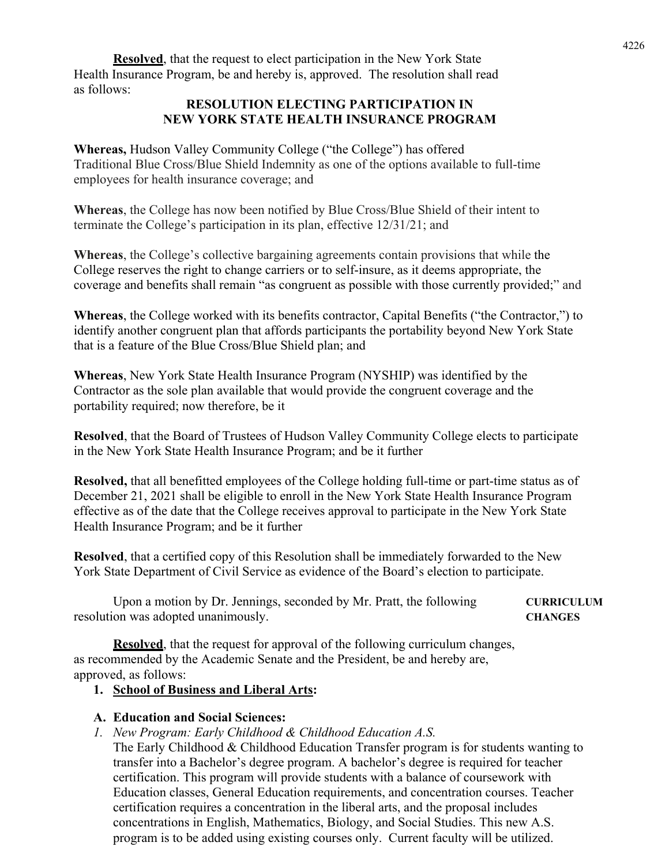**Resolved**, that the request to elect participation in the New York State Health Insurance Program, be and hereby is, approved. The resolution shall read as follows:

#### **RESOLUTION ELECTING PARTICIPATION IN NEW YORK STATE HEALTH INSURANCE PROGRAM**

**Whereas,** Hudson Valley Community College ("the College") has offered Traditional Blue Cross/Blue Shield Indemnity as one of the options available to full-time employees for health insurance coverage; and

**Whereas**, the College has now been notified by Blue Cross/Blue Shield of their intent to terminate the College's participation in its plan, effective 12/31/21; and

**Whereas**, the College's collective bargaining agreements contain provisions that while the College reserves the right to change carriers or to self-insure, as it deems appropriate, the coverage and benefits shall remain "as congruent as possible with those currently provided;" and

**Whereas**, the College worked with its benefits contractor, Capital Benefits ("the Contractor,") to identify another congruent plan that affords participants the portability beyond New York State that is a feature of the Blue Cross/Blue Shield plan; and

**Whereas**, New York State Health Insurance Program (NYSHIP) was identified by the Contractor as the sole plan available that would provide the congruent coverage and the portability required; now therefore, be it

**Resolved**, that the Board of Trustees of Hudson Valley Community College elects to participate in the New York State Health Insurance Program; and be it further

**Resolved,** that all benefitted employees of the College holding full-time or part-time status as of December 21, 2021 shall be eligible to enroll in the New York State Health Insurance Program effective as of the date that the College receives approval to participate in the New York State Health Insurance Program; and be it further

**Resolved**, that a certified copy of this Resolution shall be immediately forwarded to the New York State Department of Civil Service as evidence of the Board's election to participate.

Upon a motion by Dr. Jennings, seconded by Mr. Pratt, the following **CURRICULUM** resolution was adopted unanimously. **CHANGES** 

**Resolved**, that the request for approval of the following curriculum changes, as recommended by the Academic Senate and the President, be and hereby are, approved, as follows:

### **1. School of Business and Liberal Arts:**

### **A. Education and Social Sciences:**

*1. New Program: Early Childhood & Childhood Education A.S.* 

The Early Childhood & Childhood Education Transfer program is for students wanting to transfer into a Bachelor's degree program. A bachelor's degree is required for teacher certification. This program will provide students with a balance of coursework with Education classes, General Education requirements, and concentration courses. Teacher certification requires a concentration in the liberal arts, and the proposal includes concentrations in English, Mathematics, Biology, and Social Studies. This new A.S. program is to be added using existing courses only. Current faculty will be utilized.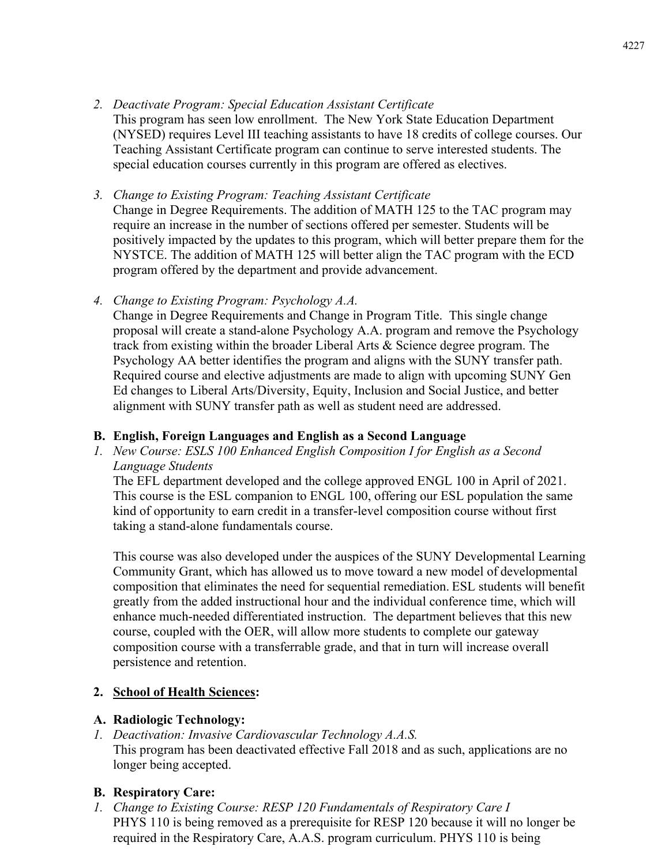*2. Deactivate Program: Special Education Assistant Certificate* 

This program has seen low enrollment. The New York State Education Department (NYSED) requires Level III teaching assistants to have 18 credits of college courses. Our Teaching Assistant Certificate program can continue to serve interested students. The special education courses currently in this program are offered as electives.

# *3. Change to Existing Program: Teaching Assistant Certificate*

Change in Degree Requirements. The addition of MATH 125 to the TAC program may require an increase in the number of sections offered per semester. Students will be positively impacted by the updates to this program, which will better prepare them for the NYSTCE. The addition of MATH 125 will better align the TAC program with the ECD program offered by the department and provide advancement.

*4. Change to Existing Program: Psychology A.A.* 

Change in Degree Requirements and Change in Program Title. This single change proposal will create a stand-alone Psychology A.A. program and remove the Psychology track from existing within the broader Liberal Arts & Science degree program. The Psychology AA better identifies the program and aligns with the SUNY transfer path. Required course and elective adjustments are made to align with upcoming SUNY Gen Ed changes to Liberal Arts/Diversity, Equity, Inclusion and Social Justice, and better alignment with SUNY transfer path as well as student need are addressed.

# **B. English, Foreign Languages and English as a Second Language**

*1. New Course: ESLS 100 Enhanced English Composition I for English as a Second Language Students* 

The EFL department developed and the college approved ENGL 100 in April of 2021. This course is the ESL companion to ENGL 100, offering our ESL population the same kind of opportunity to earn credit in a transfer-level composition course without first taking a stand-alone fundamentals course.

This course was also developed under the auspices of the SUNY Developmental Learning Community Grant, which has allowed us to move toward a new model of developmental composition that eliminates the need for sequential remediation. ESL students will benefit greatly from the added instructional hour and the individual conference time, which will enhance much-needed differentiated instruction. The department believes that this new course, coupled with the OER, will allow more students to complete our gateway composition course with a transferrable grade, and that in turn will increase overall persistence and retention.

# **2. School of Health Sciences:**

### **A. Radiologic Technology:**

*1. Deactivation: Invasive Cardiovascular Technology A.A.S.*  This program has been deactivated effective Fall 2018 and as such, applications are no longer being accepted.

# **B. Respiratory Care:**

*1. Change to Existing Course: RESP 120 Fundamentals of Respiratory Care I*  PHYS 110 is being removed as a prerequisite for RESP 120 because it will no longer be required in the Respiratory Care, A.A.S. program curriculum. PHYS 110 is being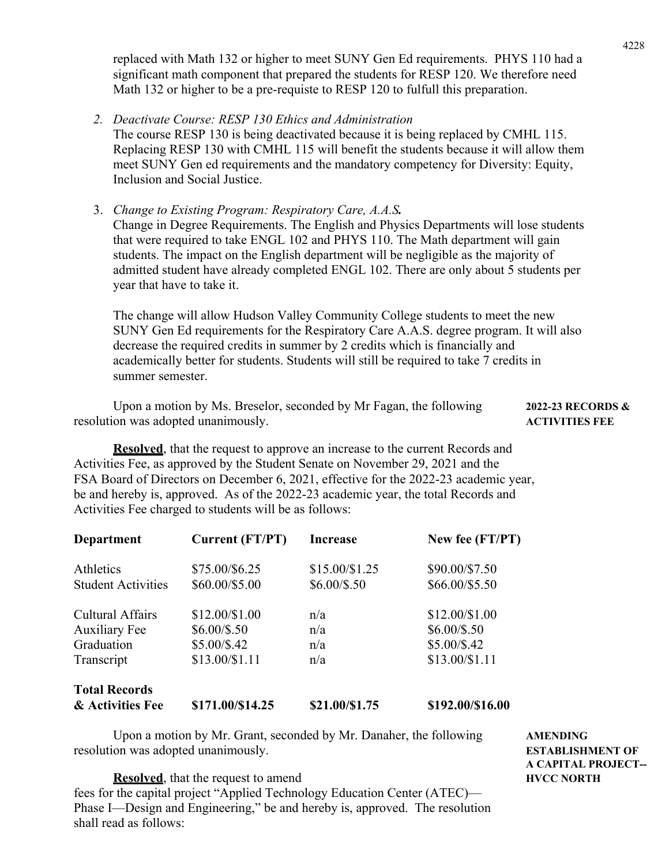replaced with Math 132 or higher to meet SUNY Gen Ed requirements. PHYS 110 had a significant math component that prepared the students for RESP 120. We therefore need Math 132 or higher to be a pre-requiste to RESP 120 to fulfull this preparation.

*2. Deactivate Course: RESP 130 Ethics and Administration*  The course RESP 130 is being deactivated because it is being replaced by CMHL 115. Replacing RESP 130 with CMHL 115 will benefit the students because it will allow them meet SUNY Gen ed requirements and the mandatory competency for Diversity: Equity, Inclusion and Social Justice.

3. *Change to Existing Program: Respiratory Care, A.A.S.* Change in Degree Requirements. The English and Physics Departments will lose students that were required to take ENGL 102 and PHYS 110. The Math department will gain students. The impact on the English department will be negligible as the majority of admitted student have already completed ENGL 102. There are only about 5 students per year that have to take it.

The change will allow Hudson Valley Community College students to meet the new SUNY Gen Ed requirements for the Respiratory Care A.A.S. degree program. It will also decrease the required credits in summer by 2 credits which is financially and academically better for students. Students will still be required to take 7 credits in summer semester.

 Upon a motion by Ms. Breselor, seconded by Mr Fagan, the following **2022-23 RECORDS &**  resolution was adopted unanimously.

**Resolved**, that the request to approve an increase to the current Records and Activities Fee, as approved by the Student Senate on November 29, 2021 and the FSA Board of Directors on December 6, 2021, effective for the 2022-23 academic year, be and hereby is, approved. As of the 2022-23 academic year, the total Records and Activities Fee charged to students will be as follows:

| <b>Department</b>         | Current (FT/PT)  | <b>Increase</b> | New fee (FT/PT)  |
|---------------------------|------------------|-----------------|------------------|
| Athletics                 | \$75.00/\$6.25   | $$15.00/\$1.25$ | \$90.00/\$7.50   |
| <b>Student Activities</b> | \$60.00/\$5.00   | $$6.00/\$.50$   | \$66.00/\$5.50   |
| <b>Cultural Affairs</b>   | \$12.00/\$1.00   | n/a             | \$12.00/\$1.00   |
| <b>Auxiliary Fee</b>      | $$6.00/\$.50$    | n/a             | $$6.00/\$.50$    |
| Graduation                | \$5.00/\$.42     | n/a             | $$5.00/\$.42$    |
| Transcript                | $$13.00/\$1.11$  | n/a             | \$13.00/\$1.11   |
| <b>Total Records</b>      |                  |                 |                  |
| & Activities Fee          | \$171.00/\$14.25 | \$21.00/\$1.75  | \$192.00/\$16.00 |

Upon a motion by Mr. Grant, seconded by Mr. Danaher, the following **AMENDING** resolution was adopted unanimously. **ESTABLISHMENT OF** 

 **A CAPITAL PROJECT--** 

**Resolved**, that the request to amend **HVCC NORTH** fees for the capital project "Applied Technology Education Center (ATEC)— Phase I—Design and Engineering," be and hereby is, approved. The resolution shall read as follows: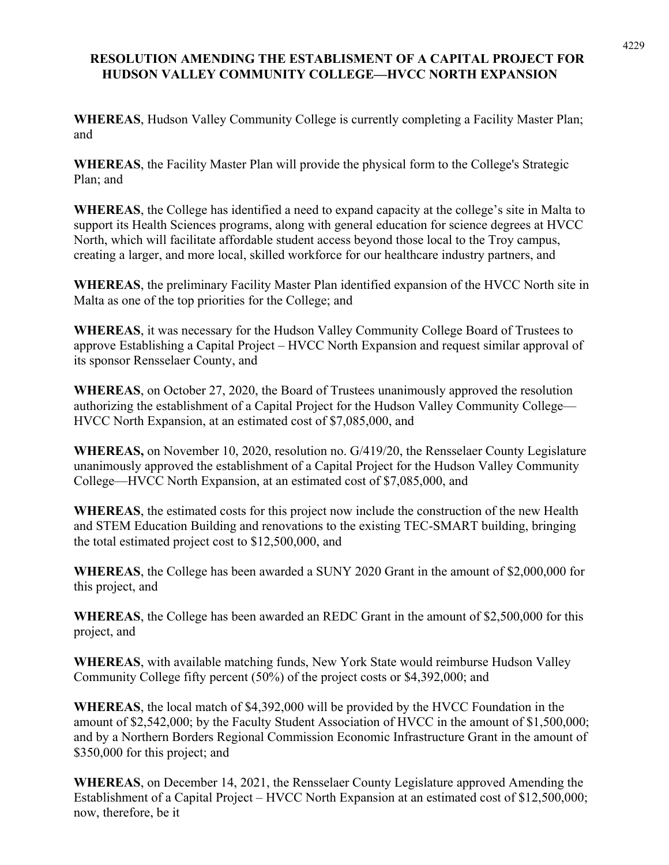# **RESOLUTION AMENDING THE ESTABLISMENT OF A CAPITAL PROJECT FOR HUDSON VALLEY COMMUNITY COLLEGE—HVCC NORTH EXPANSION**

**WHEREAS**, Hudson Valley Community College is currently completing a Facility Master Plan; and

**WHEREAS**, the Facility Master Plan will provide the physical form to the College's Strategic Plan; and

**WHEREAS**, the College has identified a need to expand capacity at the college's site in Malta to support its Health Sciences programs, along with general education for science degrees at HVCC North, which will facilitate affordable student access beyond those local to the Troy campus, creating a larger, and more local, skilled workforce for our healthcare industry partners, and

**WHEREAS**, the preliminary Facility Master Plan identified expansion of the HVCC North site in Malta as one of the top priorities for the College; and

**WHEREAS**, it was necessary for the Hudson Valley Community College Board of Trustees to approve Establishing a Capital Project – HVCC North Expansion and request similar approval of its sponsor Rensselaer County, and

**WHEREAS**, on October 27, 2020, the Board of Trustees unanimously approved the resolution authorizing the establishment of a Capital Project for the Hudson Valley Community College— HVCC North Expansion, at an estimated cost of \$7,085,000, and

**WHEREAS,** on November 10, 2020, resolution no. G/419/20, the Rensselaer County Legislature unanimously approved the establishment of a Capital Project for the Hudson Valley Community College—HVCC North Expansion, at an estimated cost of \$7,085,000, and

**WHEREAS**, the estimated costs for this project now include the construction of the new Health and STEM Education Building and renovations to the existing TEC-SMART building, bringing the total estimated project cost to \$12,500,000, and

**WHEREAS**, the College has been awarded a SUNY 2020 Grant in the amount of \$2,000,000 for this project, and

**WHEREAS**, the College has been awarded an REDC Grant in the amount of \$2,500,000 for this project, and

**WHEREAS**, with available matching funds, New York State would reimburse Hudson Valley Community College fifty percent (50%) of the project costs or \$4,392,000; and

**WHEREAS**, the local match of \$4,392,000 will be provided by the HVCC Foundation in the amount of \$2,542,000; by the Faculty Student Association of HVCC in the amount of \$1,500,000; and by a Northern Borders Regional Commission Economic Infrastructure Grant in the amount of \$350,000 for this project; and

**WHEREAS**, on December 14, 2021, the Rensselaer County Legislature approved Amending the Establishment of a Capital Project – HVCC North Expansion at an estimated cost of \$12,500,000; now, therefore, be it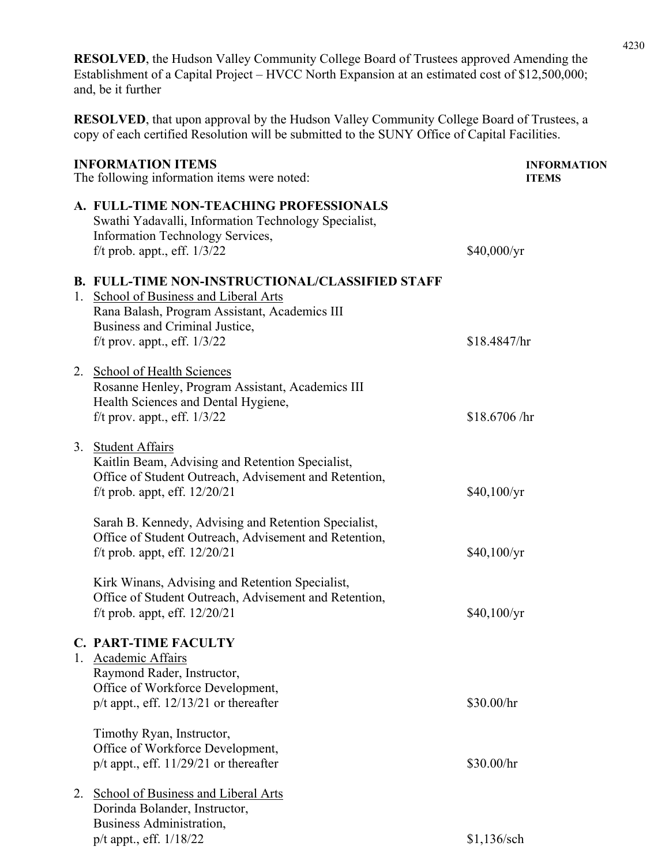**RESOLVED**, the Hudson Valley Community College Board of Trustees approved Amending the Establishment of a Capital Project – HVCC North Expansion at an estimated cost of \$12,500,000; and, be it further

**RESOLVED**, that upon approval by the Hudson Valley Community College Board of Trustees, a copy of each certified Resolution will be submitted to the SUNY Office of Capital Facilities.

| <b>INFORMATION ITEMS</b><br>The following information items were noted: |                                                                                                                                                                                                                       | <b>INFORMATION</b><br><b>ITEMS</b> |  |
|-------------------------------------------------------------------------|-----------------------------------------------------------------------------------------------------------------------------------------------------------------------------------------------------------------------|------------------------------------|--|
|                                                                         | A. FULL-TIME NON-TEACHING PROFESSIONALS<br>Swathi Yadavalli, Information Technology Specialist,<br>Information Technology Services,<br>f/t prob. appt., eff. $1/3/22$                                                 | \$40,000/yr                        |  |
|                                                                         | <b>B. FULL-TIME NON-INSTRUCTIONAL/CLASSIFIED STAFF</b><br>1. School of Business and Liberal Arts<br>Rana Balash, Program Assistant, Academics III<br>Business and Criminal Justice,<br>f/t prov. appt., eff. $1/3/22$ | \$18.4847/hr                       |  |
|                                                                         | 2. School of Health Sciences<br>Rosanne Henley, Program Assistant, Academics III<br>Health Sciences and Dental Hygiene,<br>f/t prov. appt., eff. $1/3/22$                                                             | \$18.6706 /hr                      |  |
|                                                                         | 3. Student Affairs<br>Kaitlin Beam, Advising and Retention Specialist,<br>Office of Student Outreach, Advisement and Retention,<br>f/t prob. appt, eff. $12/20/21$                                                    | \$40,100/yr                        |  |
|                                                                         | Sarah B. Kennedy, Advising and Retention Specialist,<br>Office of Student Outreach, Advisement and Retention,<br>f/t prob. appt, eff. $12/20/21$                                                                      | \$40,100/yr                        |  |
|                                                                         | Kirk Winans, Advising and Retention Specialist,<br>Office of Student Outreach, Advisement and Retention,<br>f/t prob. appt, eff. $12/20/21$                                                                           | \$40,100/yr                        |  |
| 1.                                                                      | <b>C. PART-TIME FACULTY</b><br><b>Academic Affairs</b><br>Raymond Rader, Instructor,<br>Office of Workforce Development,<br>$p/t$ appt., eff. $12/13/21$ or thereafter                                                | \$30.00/hr                         |  |
|                                                                         | Timothy Ryan, Instructor,<br>Office of Workforce Development,<br>$p/t$ appt., eff. 11/29/21 or thereafter                                                                                                             | \$30.00/hr                         |  |
| 2.                                                                      | <b>School of Business and Liberal Arts</b><br>Dorinda Bolander, Instructor,<br>Business Administration,<br>p/t appt., eff. 1/18/22                                                                                    | $$1,136$ /sch                      |  |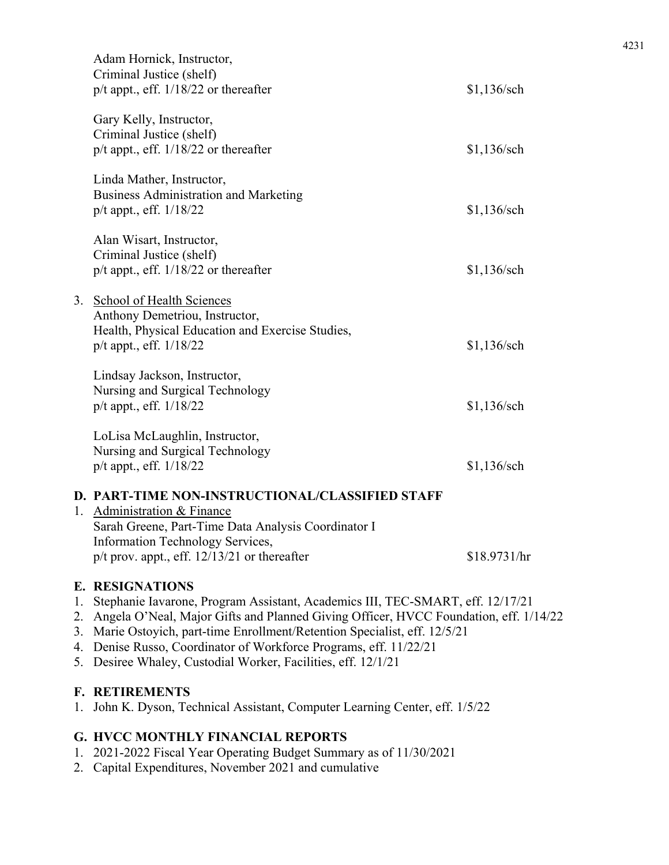|    | Adam Hornick, Instructor,<br>Criminal Justice (shelf)<br>$p/t$ appt., eff. $1/18/22$ or thereafter                                                                        | $$1,136$ /sch |
|----|---------------------------------------------------------------------------------------------------------------------------------------------------------------------------|---------------|
|    | Gary Kelly, Instructor,<br>Criminal Justice (shelf)<br>$p/t$ appt., eff. $1/18/22$ or thereafter                                                                          | \$1,136/sch   |
|    | Linda Mather, Instructor,<br><b>Business Administration and Marketing</b><br>$p/t$ appt., eff. $1/18/22$                                                                  | $$1,136$ /sch |
|    | Alan Wisart, Instructor,<br>Criminal Justice (shelf)<br>$p/t$ appt., eff. $1/18/22$ or thereafter                                                                         | \$1,136/sch   |
| 3. | <b>School of Health Sciences</b><br>Anthony Demetriou, Instructor,<br>Health, Physical Education and Exercise Studies,<br>p/t appt., eff. 1/18/22                         | $$1,136$ /sch |
|    | Lindsay Jackson, Instructor,<br>Nursing and Surgical Technology<br>$p/t$ appt., eff. $1/18/22$                                                                            | $$1,136$ /sch |
|    | LoLisa McLaughlin, Instructor,<br>Nursing and Surgical Technology<br>p/t appt., eff. 1/18/22                                                                              | \$1,136/sch   |
|    | D. PART-TIME NON-INSTRUCTIONAL/CLASSIFIED STAFF<br>1. Administration & Finance<br>Sarah Greene, Part-Time Data Analysis Coordinator I<br>Information Technology Services, |               |
|    | $p/t$ prov. appt., eff. $12/13/21$ or thereafter                                                                                                                          | \$18.9731/hr  |

#### **E. RESIGNATIONS**

- 1. Stephanie Iavarone, Program Assistant, Academics III, TEC-SMART, eff. 12/17/21
- 2. Angela O'Neal, Major Gifts and Planned Giving Officer, HVCC Foundation, eff. 1/14/22
- 3. Marie Ostoyich, part-time Enrollment/Retention Specialist, eff. 12/5/21
- 4. Denise Russo, Coordinator of Workforce Programs, eff. 11/22/21
- 5. Desiree Whaley, Custodial Worker, Facilities, eff. 12/1/21

#### **F. RETIREMENTS**

1. John K. Dyson, Technical Assistant, Computer Learning Center, eff. 1/5/22

#### **G. HVCC MONTHLY FINANCIAL REPORTS**

- 1. 2021-2022 Fiscal Year Operating Budget Summary as of 11/30/2021
- 2. Capital Expenditures, November 2021 and cumulative